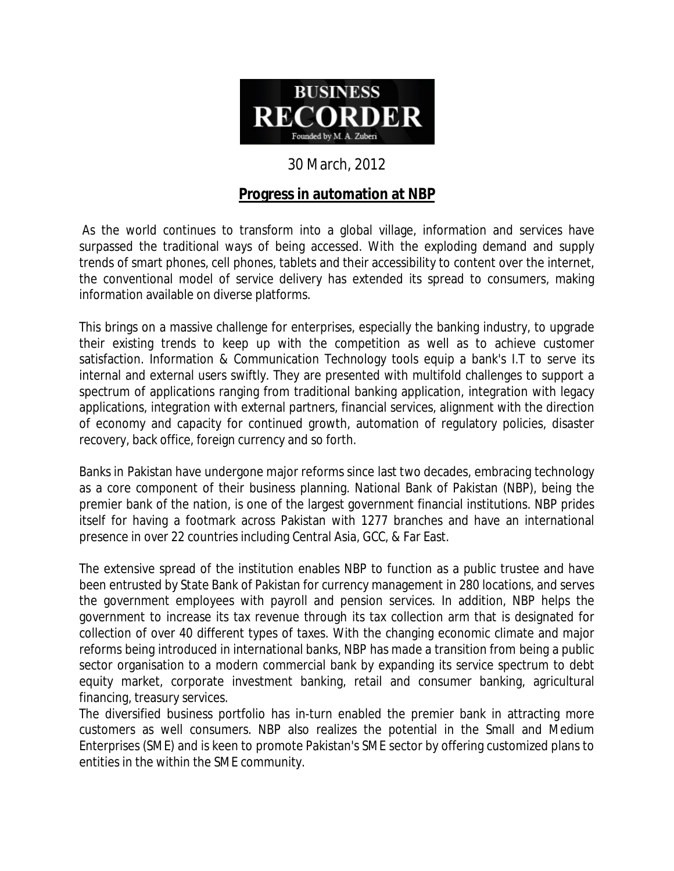

## 30 March, 2012

## **Progress in automation at NBP**

As the world continues to transform into a global village, information and services have surpassed the traditional ways of being accessed. With the exploding demand and supply trends of smart phones, cell phones, tablets and their accessibility to content over the internet, the conventional model of service delivery has extended its spread to consumers, making information available on diverse platforms.

This brings on a massive challenge for enterprises, especially the banking industry, to upgrade their existing trends to keep up with the competition as well as to achieve customer satisfaction. Information & Communication Technology tools equip a bank's I.T to serve its internal and external users swiftly. They are presented with multifold challenges to support a spectrum of applications ranging from traditional banking application, integration with legacy applications, integration with external partners, financial services, alignment with the direction of economy and capacity for continued growth, automation of regulatory policies, disaster recovery, back office, foreign currency and so forth.

Banks in Pakistan have undergone major reforms since last two decades, embracing technology as a core component of their business planning. National Bank of Pakistan (NBP), being the premier bank of the nation, is one of the largest government financial institutions. NBP prides itself for having a footmark across Pakistan with 1277 branches and have an international presence in over 22 countries including Central Asia, GCC, & Far East.

The extensive spread of the institution enables NBP to function as a public trustee and have been entrusted by State Bank of Pakistan for currency management in 280 locations, and serves the government employees with payroll and pension services. In addition, NBP helps the government to increase its tax revenue through its tax collection arm that is designated for collection of over 40 different types of taxes. With the changing economic climate and major reforms being introduced in international banks, NBP has made a transition from being a public sector organisation to a modern commercial bank by expanding its service spectrum to debt equity market, corporate investment banking, retail and consumer banking, agricultural financing, treasury services.

The diversified business portfolio has in-turn enabled the premier bank in attracting more customers as well consumers. NBP also realizes the potential in the Small and Medium Enterprises (SME) and is keen to promote Pakistan's SME sector by offering customized plans to entities in the within the SME community.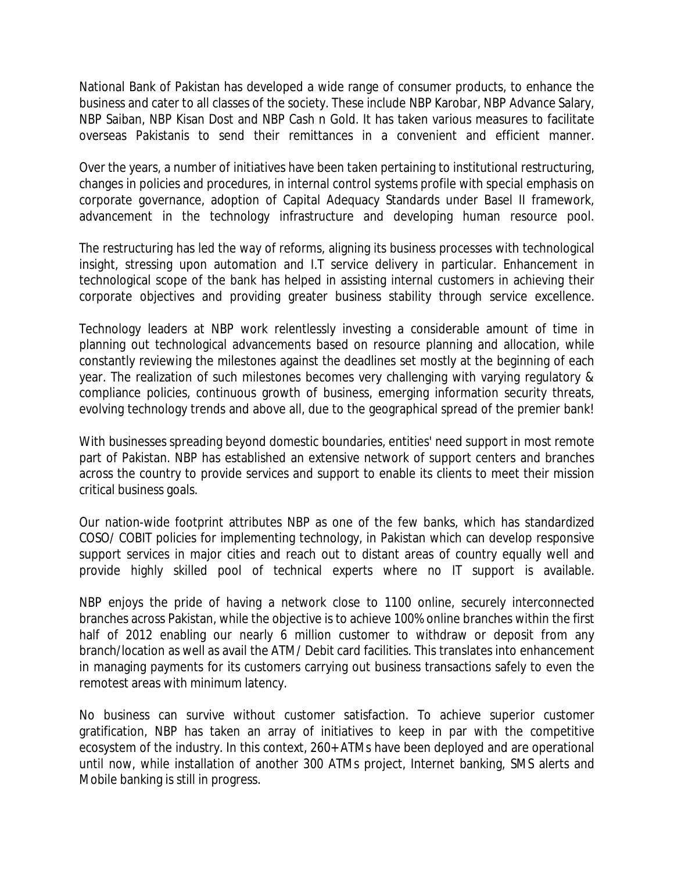National Bank of Pakistan has developed a wide range of consumer products, to enhance the business and cater to all classes of the society. These include NBP Karobar, NBP Advance Salary, NBP Saiban, NBP Kisan Dost and NBP Cash n Gold. It has taken various measures to facilitate overseas Pakistanis to send their remittances in a convenient and efficient manner.

Over the years, a number of initiatives have been taken pertaining to institutional restructuring, changes in policies and procedures, in internal control systems profile with special emphasis on corporate governance, adoption of Capital Adequacy Standards under Basel II framework, advancement in the technology infrastructure and developing human resource pool.

The restructuring has led the way of reforms, aligning its business processes with technological insight, stressing upon automation and I.T service delivery in particular. Enhancement in technological scope of the bank has helped in assisting internal customers in achieving their corporate objectives and providing greater business stability through service excellence.

Technology leaders at NBP work relentlessly investing a considerable amount of time in planning out technological advancements based on resource planning and allocation, while constantly reviewing the milestones against the deadlines set mostly at the beginning of each year. The realization of such milestones becomes very challenging with varying regulatory & compliance policies, continuous growth of business, emerging information security threats, evolving technology trends and above all, due to the geographical spread of the premier bank!

With businesses spreading beyond domestic boundaries, entities' need support in most remote part of Pakistan. NBP has established an extensive network of support centers and branches across the country to provide services and support to enable its clients to meet their mission critical business goals.

Our nation-wide footprint attributes NBP as one of the few banks, which has standardized COSO/ COBIT policies for implementing technology, in Pakistan which can develop responsive support services in major cities and reach out to distant areas of country equally well and provide highly skilled pool of technical experts where no IT support is available.

NBP enjoys the pride of having a network close to 1100 online, securely interconnected branches across Pakistan, while the objective is to achieve 100% online branches within the first half of 2012 enabling our nearly 6 million customer to withdraw or deposit from any branch/location as well as avail the ATM/ Debit card facilities. This translates into enhancement in managing payments for its customers carrying out business transactions safely to even the remotest areas with minimum latency.

No business can survive without customer satisfaction. To achieve superior customer gratification, NBP has taken an array of initiatives to keep in par with the competitive ecosystem of the industry. In this context, 260+ ATMs have been deployed and are operational until now, while installation of another 300 ATMs project, Internet banking, SMS alerts and Mobile banking is still in progress.